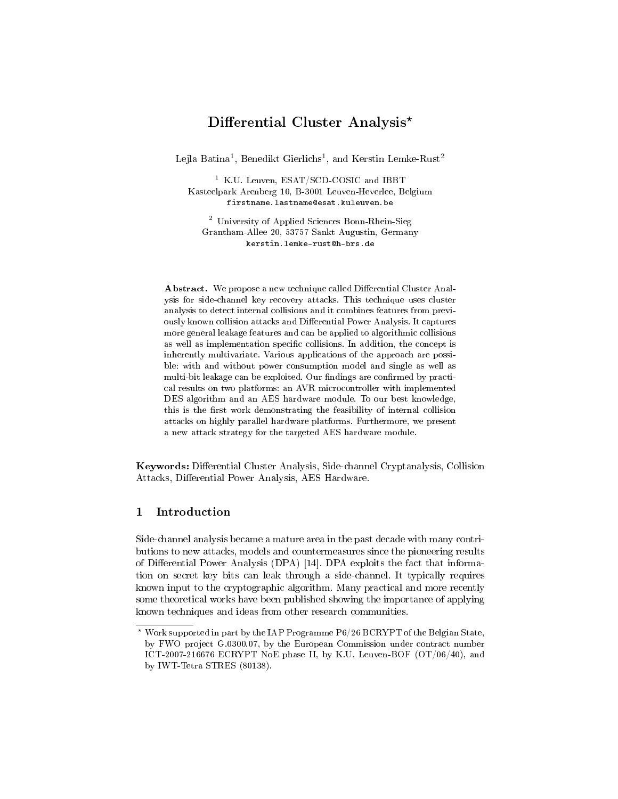# Differential Cluster Analysis<sup>\*</sup>

Lejla Batina<sup>1</sup>, Benedikt Gierlichs<sup>1</sup>, and Kerstin Lemke-Rust<sup>2</sup>

<sup>1</sup> K.U. Leuven, ESAT/SCD-COSIC and IBBT Kasteelpark Arenberg 10, B-3001 Leuven-Heverlee, Belgium firstname.lastname@esat.kuleuven.be

<sup>2</sup> University of Applied Sciences Bonn-Rhein-Sieg Grantham-Allee 20, 53757 Sankt Augustin, Germany kerstin.lemke-rust@h-brs.de

Abstract. We propose a new technique called Differential Cluster Analysis for side-channel key recovery attacks. This technique uses cluster analysis to detect internal collisions and it combines features from previously known collision attacks and Differential Power Analysis. It captures more general leakage features and can be applied to algorithmic collisions as well as implementation specific collisions. In addition, the concept is inherently multivariate. Various applications of the approach are possible: with and without power consumption model and single as well as multi-bit leakage can be exploited. Our findings are confirmed by practical results on two platforms: an AVR microcontroller with implemented DES algorithm and an AES hardware module. To our best knowledge, this is the first work demonstrating the feasibility of internal collision attacks on highly parallel hardware platforms. Furthermore, we present a new attack strategy for the targeted AES hardware module.

Keywords: Differential Cluster Analysis, Side-channel Cryptanalysis, Collision Attacks, Differential Power Analysis, AES Hardware.

# 1 Introduction

Side-channel analysis became a mature area in the past decade with many contributions to new attacks, models and countermeasures since the pioneering results of Differential Power Analysis (DPA) [14]. DPA exploits the fact that information on secret key bits can leak through a side-channel. It typically requires known input to the cryptographic algorithm. Many practical and more recently some theoretical works have been published showing the importance of applying known techniques and ideas from other research communities.

<sup>?</sup> Work supported in part by the IAP Programme P6/26 BCRYPT of the Belgian State, by FWO project G.0300.07, by the European Commission under contract number ICT-2007-216676 ECRYPT NoE phase II, by K.U. Leuven-BOF  $(OT/06/40)$ , and by IWT-Tetra STRES (80138).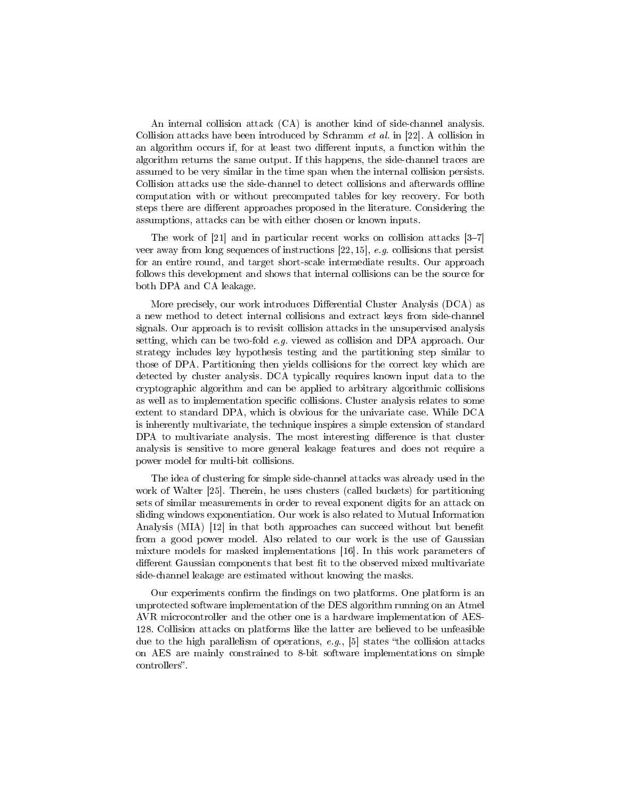An internal collision attack (CA) is another kind of side-channel analysis. Collision attacks have been introduced by Schramm et al. in [22]. A collision in an algorithm occurs if, for at least two different inputs, a function within the algorithm returns the same output. If this happens, the side-channel traces are assumed to be very similar in the time span when the internal collision persists. Collision attacks use the side-channel to detect collisions and afterwards offline computation with or without precomputed tables for key recovery. For both steps there are different approaches proposed in the literature. Considering the assumptions, attacks can be with either chosen or known inputs.

The work of  $[21]$  and in particular recent works on collision attacks  $[3-7]$ veer away from long sequences of instructions [22, 15], e.g. collisions that persist for an entire round, and target short-scale intermediate results. Our approach follows this development and shows that internal collisions can be the source for both DPA and CA leakage.

More precisely, our work introduces Differential Cluster Analysis (DCA) as a new method to detect internal collisions and extract keys from side-channel signals. Our approach is to revisit collision attacks in the unsupervised analysis setting, which can be two-fold  $e,q$ , viewed as collision and DPA approach. Our strategy includes key hypothesis testing and the partitioning step similar to those of DPA. Partitioning then yields collisions for the correct key which are detected by cluster analysis. DCA typically requires known input data to the cryptographic algorithm and can be applied to arbitrary algorithmic collisions as well as to implementation specific collisions. Cluster analysis relates to some extent to standard DPA, which is obvious for the univariate case. While DCA is inherently multivariate, the technique inspires a simple extension of standard DPA to multivariate analysis. The most interesting difference is that cluster analysis is sensitive to more general leakage features and does not require a power model for multi-bit collisions.

The idea of clustering for simple side-channel attacks was already used in the work of Walter [25]. Therein, he uses clusters (called buckets) for partitioning sets of similar measurements in order to reveal exponent digits for an attack on sliding windows exponentiation. Our work is also related to Mutual Information Analysis (MIA) [12] in that both approaches can succeed without but benefit from a good power model. Also related to our work is the use of Gaussian mixture models for masked implementations [16]. In this work parameters of different Gaussian components that best fit to the observed mixed multivariate side-channel leakage are estimated without knowing the masks.

Our experiments confirm the findings on two platforms. One platform is an unprotected software implementation of the DES algorithm running on an Atmel AVR microcontroller and the other one is a hardware implementation of AES-128. Collision attacks on platforms like the latter are believed to be unfeasible due to the high parallelism of operations, e.g., [5] states "the collision attacks on AES are mainly constrained to 8-bit software implementations on simple controllers".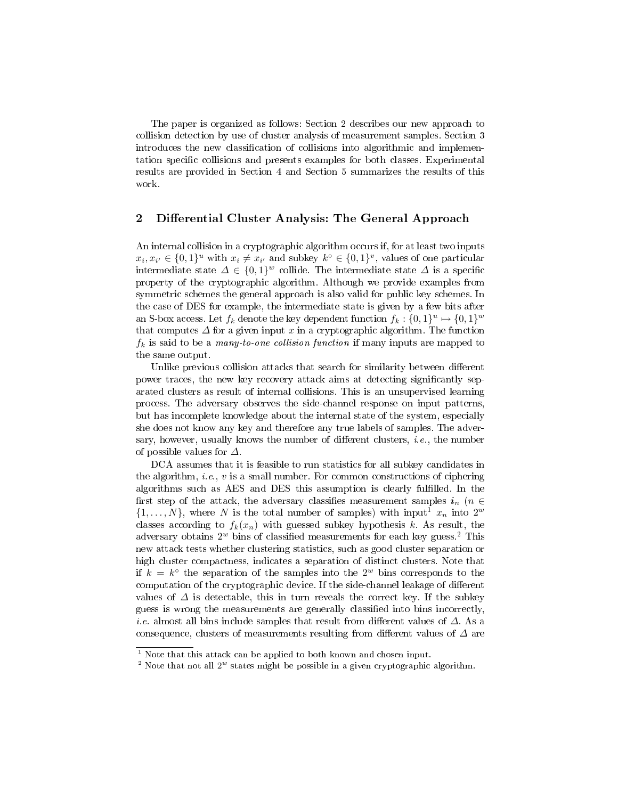The paper is organized as follows: Section 2 describes our new approach to collision detection by use of cluster analysis of measurement samples. Section 3 introduces the new classification of collisions into algorithmic and implementation specific collisions and presents examples for both classes. Experimental results are provided in Section 4 and Section 5 summarizes the results of this work.

# 2 Differential Cluster Analysis: The General Approach

An internal collision in a cryptographic algorithm occurs if, for at least two inputs  $x_i, x_{i'} \in \{0,1\}^u$  with  $x_i \neq x_{i'}$  and subkey  $k^{\circ} \in \{0,1\}^v$ , values of one particular intermediate state  $\Delta \in \{0,1\}^w$  collide. The intermediate state  $\Delta$  is a specific property of the cryptographic algorithm. Although we provide examples from symmetric schemes the general approach is also valid for public key schemes. In the case of DES for example, the intermediate state is given by a few bits after an S-box access. Let  $f_k$  denote the key dependent function  $f_k: \{0,1\}^u \mapsto \{0,1\}^w$ that computes  $\Delta$  for a given input x in a cryptographic algorithm. The function  $f_k$  is said to be a many-to-one collision function if many inputs are mapped to the same output.

Unlike previous collision attacks that search for similarity between different power traces, the new key recovery attack aims at detecting signicantly separated clusters as result of internal collisions. This is an unsupervised learning process. The adversary observes the side-channel response on input patterns, but has incomplete knowledge about the internal state of the system, especially she does not know any key and therefore any true labels of samples. The adversary, however, usually knows the number of different clusters, *i.e.*, the number of possible values for  $\Delta$ .

DCA assumes that it is feasible to run statistics for all subkey candidates in the algorithm, *i.e.*,  $v$  is a small number. For common constructions of ciphering algorithms such as AES and DES this assumption is clearly fullled. In the first step of the attack, the adversary classifies measurement samples  $i_n$  (n  $\in$  $\{1, \ldots, N\}$ , where N is the total number of samples) with input<sup>1</sup>  $x_n$  into  $2^w$ classes according to  $f_k(x_n)$  with guessed subkey hypothesis k. As result, the adversary obtains  $2^w$  bins of classified measurements for each key guess.<sup>2</sup> This new attack tests whether clustering statistics, such as good cluster separation or high cluster compactness, indicates a separation of distinct clusters. Note that if  $k = k^{\circ}$  the separation of the samples into the  $2^{w}$  bins corresponds to the computation of the cryptographic device. If the side-channel leakage of different values of  $\Delta$  is detectable, this in turn reveals the correct key. If the subkey guess is wrong the measurements are generally classied into bins incorrectly, *i.e.* almost all bins include samples that result from different values of  $\Delta$ . As a consequence, clusters of measurements resulting from different values of  $\Delta$  are

 $1$  Note that this attack can be applied to both known and chosen input.

<sup>&</sup>lt;sup>2</sup> Note that not all  $2^w$  states might be possible in a given cryptographic algorithm.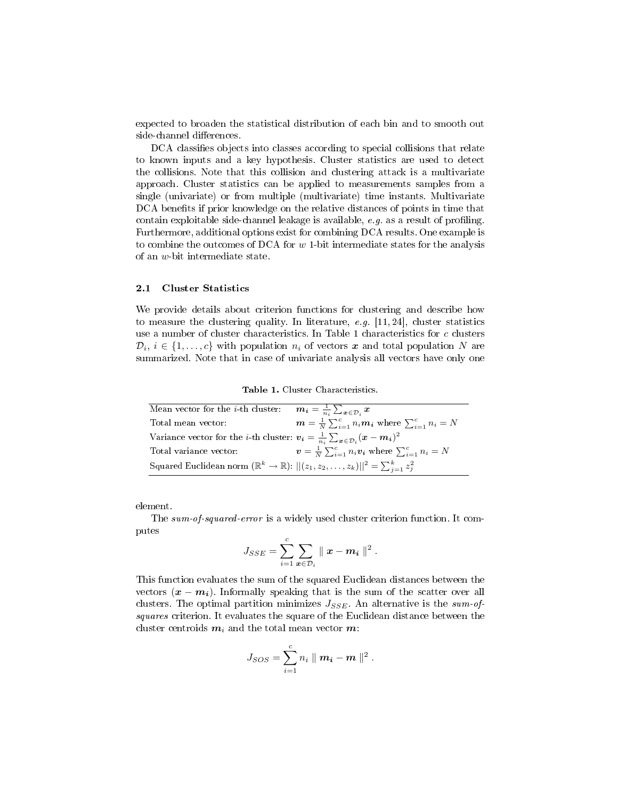expected to broaden the statistical distribution of each bin and to smooth out side-channel differences.

DCA classifies objects into classes according to special collisions that relate to known inputs and a key hypothesis. Cluster statistics are used to detect the collisions. Note that this collision and clustering attack is a multivariate approach. Cluster statistics can be applied to measurements samples from a single (univariate) or from multiple (multivariate) time instants. Multivariate DCA benefits if prior knowledge on the relative distances of points in time that contain exploitable side-channel leakage is available,  $e.g.$  as a result of profiling. Furthermore, additional options exist for combining DCA results. One example is to combine the outcomes of DCA for  $w$  1-bit intermediate states for the analysis of an w-bit intermediate state.

#### 2.1 Cluster Statistics

We provide details about criterion functions for clustering and describe how to measure the clustering quality. In literature, e.g.  $[11, 24]$ , cluster statistics use a number of cluster characteristics. In Table 1 characteristics for c clusters  $\mathcal{D}_i, i \in \{1, \ldots, c\}$  with population  $n_i$  of vectors  $\boldsymbol{x}$  and total population  $N$  are summarized. Note that in case of univariate analysis all vectors have only one

#### Table 1. Cluster Characteristics.

| Mean vector for the <i>i</i> -th cluster:                                                                     | $m_i = \frac{1}{n_i} \sum_{x \in \mathcal{D}_i} x$                                        |
|---------------------------------------------------------------------------------------------------------------|-------------------------------------------------------------------------------------------|
| Total mean vector:                                                                                            | $m = \frac{1}{N} \sum_{i=1}^{c} n_i m_i$ where $\sum_{i=1}^{c} n_i = N$                   |
| Variance vector for the <i>i</i> -th cluster: $v_i = \frac{1}{n_i} \sum_{x \in \mathcal{D}_i} (x - m_i)^2$    |                                                                                           |
| Total variance vector:                                                                                        | $\mathbf{v} = \frac{1}{N} \sum_{i=1}^{c} n_i \mathbf{v_i}$ where $\sum_{i=1}^{c} n_i = N$ |
| Squared Euclidean norm $(\mathbb{R}^k \to \mathbb{R})$ : $  (z_1, z_2, \ldots, z_k)  ^2 = \sum_{i=1}^k z_i^2$ |                                                                                           |

element.

The sum-of-squared-error is a widely used cluster criterion function. It computes

$$
J_{SSE} = \sum_{i=1}^{c} \sum_{\boldsymbol{x} \in \mathcal{D}_i} \parallel \boldsymbol{x} - \boldsymbol{m_i} \parallel^2.
$$

This function evaluates the sum of the squared Euclidean distances between the vectors  $(x - m_i)$ . Informally speaking that is the sum of the scatter over all clusters. The optimal partition minimizes  $J_{SSE}$ . An alternative is the sum-ofsquares criterion. It evaluates the square of the Euclidean distance between the cluster centroids  $m_i$  and the total mean vector  $m$ :

$$
J_{SOS} = \sum_{i=1}^{c} n_i \parallel \mathbf{m_i} - \mathbf{m} \parallel^2.
$$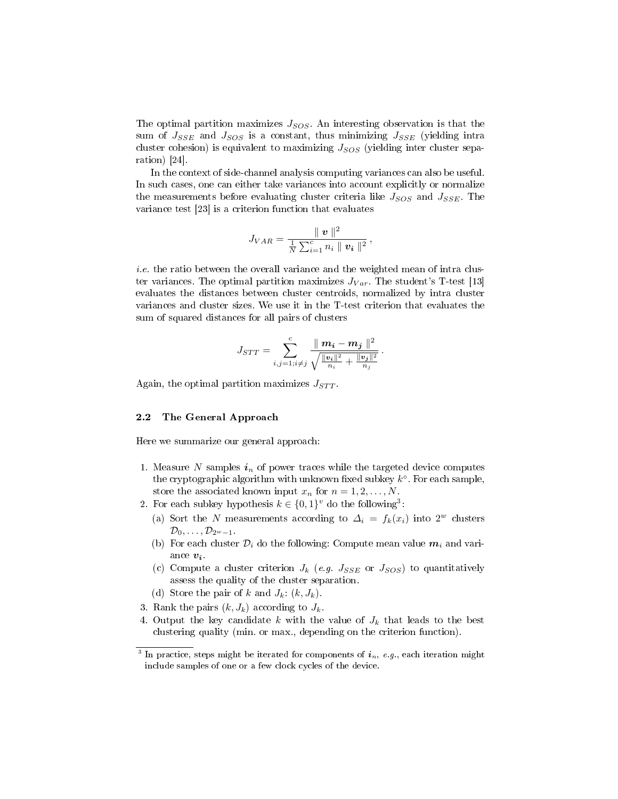The optimal partition maximizes  $J_{SOS}$ . An interesting observation is that the sum of  $J_{SSE}$  and  $J_{SOS}$  is a constant, thus minimizing  $J_{SSE}$  (yielding intra cluster cohesion) is equivalent to maximizing  $J_{SOS}$  (yielding inter cluster separation) [24].

In the context of side-channel analysis computing variances can also be useful. In such cases, one can either take variances into account explicitly or normalize the measurements before evaluating cluster criteria like  $J_{SOS}$  and  $J_{SSE}$ . The variance test [23] is a criterion function that evaluates

$$
J_{VAR} = \frac{\| \mathbf{v} \|^2}{\frac{1}{N} \sum_{i=1}^{c} n_i \| \mathbf{v}_i \|^2},
$$

i.e. the ratio between the overall variance and the weighted mean of intra cluster variances. The optimal partition maximizes  $J_{Var}$ . The student's T-test [13] evaluates the distances between cluster centroids, normalized by intra cluster variances and cluster sizes. We use it in the T-test criterion that evaluates the sum of squared distances for all pairs of clusters

$$
J_{STT} = \sum_{i,j=1; i \neq j}^{c} \frac{\parallel \boldsymbol{m_i} - \boldsymbol{m_j} \parallel^2}{\sqrt{\frac{\parallel \boldsymbol{v_i} \parallel^2}{n_i} + \frac{\parallel \boldsymbol{v_j} \parallel^2}{n_j}}}.
$$

Again, the optimal partition maximizes  $J_{STT}$ .

#### 2.2 The General Approach

Here we summarize our general approach:

- 1. Measure N samples  $i_n$  of power traces while the targeted device computes the cryptographic algorithm with unknown fixed subkey  $k^{\circ}$ . For each sample, store the associated known input  $x_n$  for  $n = 1, 2, \ldots, N$ .
- 2. For each subkey hypothesis  $k \in \{0,1\}^v$  do the following<sup>3</sup>:
	- (a) Sort the N measurements according to  $\Delta_i = f_k(x_i)$  into  $2^w$  clusters  $\mathcal{D}_0, \ldots, \mathcal{D}_{2^w-1}.$
	- (b) For each cluster  $\mathcal{D}_i$  do the following: Compute mean value  $\mathbf{m}_i$  and variance vi.
	- (c) Compute a cluster criterion  $J_k$  (e.g.  $J_{SSE}$  or  $J_{SOS}$ ) to quantitatively assess the quality of the cluster separation.
	- (d) Store the pair of k and  $J_k$ :  $(k, J_k)$ .
- 3. Rank the pairs  $(k, J_k)$  according to  $J_k$ .
- 4. Output the key candidate  $k$  with the value of  $J_k$  that leads to the best clustering quality (min. or max., depending on the criterion function).

<sup>&</sup>lt;sup>3</sup> In practice, steps might be iterated for components of  $i_n$ , e.g., each iteration might include samples of one or a few clock cycles of the device.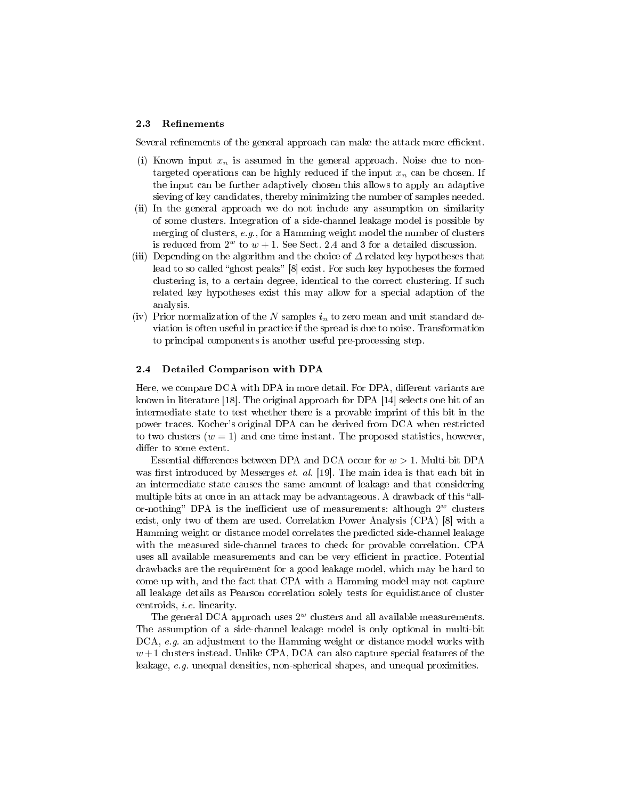#### 2.3 Refinements

Several refinements of the general approach can make the attack more efficient.

- (i) Known input  $x_n$  is assumed in the general approach. Noise due to nontargeted operations can be highly reduced if the input  $x_n$  can be chosen. If the input can be further adaptively chosen this allows to apply an adaptive sieving of key candidates, thereby minimizing the number of samples needed.
- (ii) In the general approach we do not include any assumption on similarity of some clusters. Integration of a side-channel leakage model is possible by merging of clusters, e.g., for a Hamming weight model the number of clusters is reduced from  $2^w$  to  $w + 1$ . See Sect. 2.4 and 3 for a detailed discussion.
- (iii) Depending on the algorithm and the choice of  $\Delta$  related key hypotheses that lead to so called "ghost peaks" [8] exist. For such key hypotheses the formed clustering is, to a certain degree, identical to the correct clustering. If such related key hypotheses exist this may allow for a special adaption of the analysis.
- (iv) Prior normalization of the N samples  $i_n$  to zero mean and unit standard deviation is often useful in practice if the spread is due to noise. Transformation to principal components is another useful pre-processing step.

#### 2.4 Detailed Comparison with DPA

Here, we compare DCA with DPA in more detail. For DPA, different variants are known in literature [18]. The original approach for DPA [14] selects one bit of an intermediate state to test whether there is a provable imprint of this bit in the power traces. Kocher's original DPA can be derived from DCA when restricted to two clusters  $(w = 1)$  and one time instant. The proposed statistics, however, differ to some extent.

Essential differences between DPA and DCA occur for  $w > 1$ . Multi-bit DPA was first introduced by Messerges *et. al.* [19]. The main idea is that each bit in an intermediate state causes the same amount of leakage and that considering multiple bits at once in an attack may be advantageous. A drawback of this "allor-nothing" DPA is the inefficient use of measurements: although  $2^w$  clusters exist, only two of them are used. Correlation Power Analysis (CPA) [8] with a Hamming weight or distance model correlates the predicted side-channel leakage with the measured side-channel traces to check for provable correlation. CPA uses all available measurements and can be very efficient in practice. Potential drawbacks are the requirement for a good leakage model, which may be hard to come up with, and the fact that CPA with a Hamming model may not capture all leakage details as Pearson correlation solely tests for equidistance of cluster centroids, i.e. linearity.

The general DCA approach uses  $2^w$  clusters and all available measurements. The assumption of a side-channel leakage model is only optional in multi-bit DCA, e.g. an adjustment to the Hamming weight or distance model works with  $w+1$  clusters instead. Unlike CPA, DCA can also capture special features of the leakage, e.g. unequal densities, non-spherical shapes, and unequal proximities.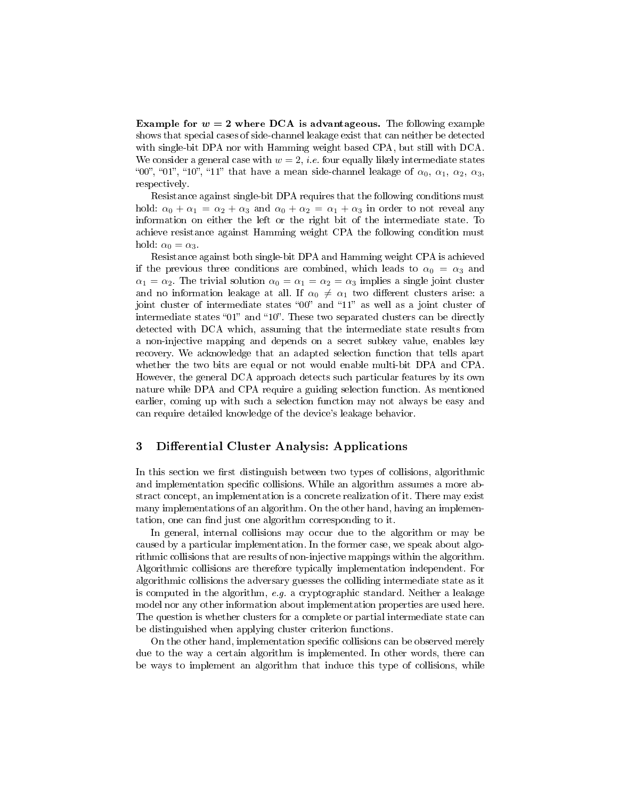**Example for**  $w = 2$  **where DCA is advantageous.** The following example shows that special cases of side-channel leakage exist that can neither be detected with single-bit DPA nor with Hamming weight based CPA, but still with DCA. We consider a general case with  $w = 2$ , *i.e.* four equally likely intermediate states "00", "01", "10", "11" that have a mean side-channel leakage of  $\alpha_0$ ,  $\alpha_1$ ,  $\alpha_2$ ,  $\alpha_3$ , respectively.

Resistance against single-bit DPA requires that the following conditions must hold:  $\alpha_0 + \alpha_1 = \alpha_2 + \alpha_3$  and  $\alpha_0 + \alpha_2 = \alpha_1 + \alpha_3$  in order to not reveal any information on either the left or the right bit of the intermediate state. To achieve resistance against Hamming weight CPA the following condition must hold:  $\alpha_0 = \alpha_3$ .

Resistance against both single-bit DPA and Hamming weight CPA is achieved if the previous three conditions are combined, which leads to  $\alpha_0 = \alpha_3$  and  $\alpha_1 = \alpha_2$ . The trivial solution  $\alpha_0 = \alpha_1 = \alpha_2 = \alpha_3$  implies a single joint cluster and no information leakage at all. If  $\alpha_0 \neq \alpha_1$  two different clusters arise: a joint cluster of intermediate states " $00$ " and " $11$ " as well as a joint cluster of intermediate states "01" and "10". These two separated clusters can be directly detected with DCA which, assuming that the intermediate state results from a non-injective mapping and depends on a secret subkey value, enables key recovery. We acknowledge that an adapted selection function that tells apart whether the two bits are equal or not would enable multi-bit DPA and CPA. However, the general DCA approach detects such particular features by its own nature while DPA and CPA require a guiding selection function. As mentioned earlier, coming up with such a selection function may not always be easy and can require detailed knowledge of the device's leakage behavior.

# 3 Differential Cluster Analysis: Applications

In this section we first distinguish between two types of collisions, algorithmic and implementation specific collisions. While an algorithm assumes a more abstract concept, an implementation is a concrete realization of it. There may exist many implementations of an algorithm. On the other hand, having an implementation, one can find just one algorithm corresponding to it.

In general, internal collisions may occur due to the algorithm or may be caused by a particular implementation. In the former case, we speak about algorithmic collisions that are results of non-injective mappings within the algorithm. Algorithmic collisions are therefore typically implementation independent. For algorithmic collisions the adversary guesses the colliding intermediate state as it is computed in the algorithm,  $e.g.$  a cryptographic standard. Neither a leakage model nor any other information about implementation properties are used here. The question is whether clusters for a complete or partial intermediate state can be distinguished when applying cluster criterion functions.

On the other hand, implementation specific collisions can be observed merely due to the way a certain algorithm is implemented. In other words, there can be ways to implement an algorithm that induce this type of collisions, while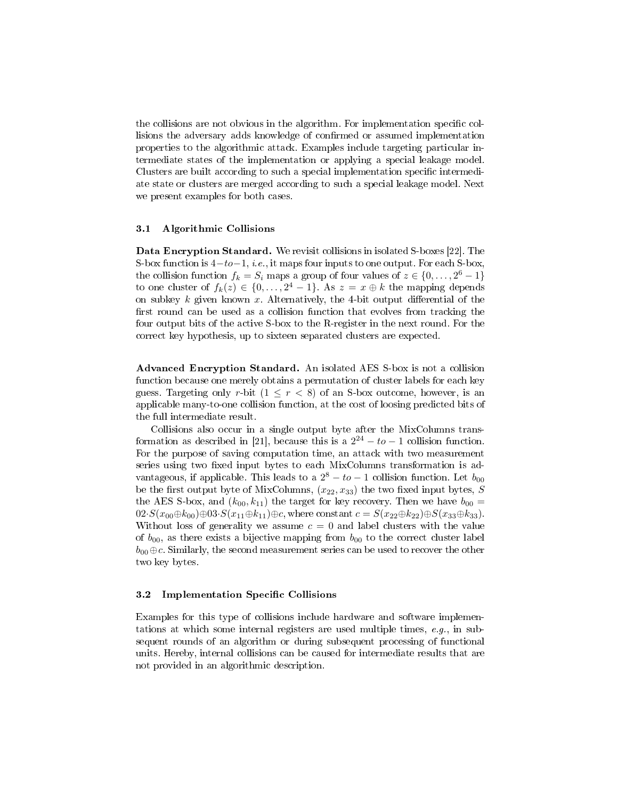the collisions are not obvious in the algorithm. For implementation specific collisions the adversary adds knowledge of confirmed or assumed implementation properties to the algorithmic attack. Examples include targeting particular intermediate states of the implementation or applying a special leakage model. Clusters are built according to such a special implementation specific intermediate state or clusters are merged according to such a special leakage model. Next we present examples for both cases.

#### 3.1 Algorithmic Collisions

Data Encryption Standard. We revisit collisions in isolated S-boxes [22]. The S-box function is  $4-t_0-1$ , *i.e.*, it maps four inputs to one output. For each S-box, the collision function  $f_k = S_i$  maps a group of four values of  $z \in \{0, \ldots, 2^6 - 1\}$ to one cluster of  $f_k(z) \in \{0, \ldots, 2^4 - 1\}$ . As  $z = x \oplus k$  the mapping depends on subkey  $k$  given known  $x$ . Alternatively, the 4-bit output differential of the first round can be used as a collision function that evolves from tracking the four output bits of the active S-box to the R-register in the next round. For the correct key hypothesis, up to sixteen separated clusters are expected.

Advanced Encryption Standard. An isolated AES S-box is not a collision function because one merely obtains a permutation of cluster labels for each key guess. Targeting only r-bit  $(1 \le r < 8)$  of an S-box outcome, however, is an applicable many-to-one collision function, at the cost of loosing predicted bits of the full intermediate result.

Collisions also occur in a single output byte after the MixColumns transformation as described in [21], because this is a  $2^{24} - to - 1$  collision function. For the purpose of saving computation time, an attack with two measurement series using two fixed input bytes to each MixColumns transformation is advantageous, if applicable. This leads to a  $2^8 - to - 1$  collision function. Let  $b_{00}$ be the first output byte of MixColumns,  $(x_{22}, x_{33})$  the two fixed input bytes, S the AES S-box, and  $(k_{00}, k_{11})$  the target for key recovery. Then we have  $b_{00} =$  $02\cdot S(x_{00} \oplus k_{00})\oplus 03\cdot S(x_{11} \oplus k_{11})\oplus c$ , where constant  $c = S(x_{22} \oplus k_{22})\oplus S(x_{33} \oplus k_{33})$ . Without loss of generality we assume  $c = 0$  and label clusters with the value of  $b_{00}$ , as there exists a bijective mapping from  $b_{00}$  to the correct cluster label  $b_{00} \oplus c$ . Similarly, the second measurement series can be used to recover the other two key bytes.

#### 3.2 Implementation Specific Collisions

Examples for this type of collisions include hardware and software implementations at which some internal registers are used multiple times, e.g., in subsequent rounds of an algorithm or during subsequent processing of functional units. Hereby, internal collisions can be caused for intermediate results that are not provided in an algorithmic description.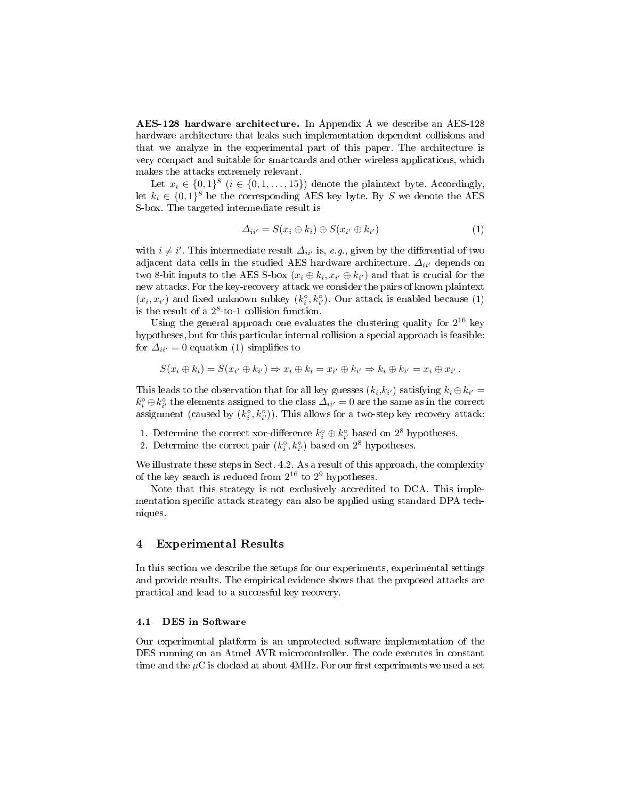AES-128 hardware architecture. In Appendix A we describe an AES-128 hardware architecture that leaks such implementation dependent collisions and that we analyze in the experimental part of this paper. The architecture is very compact and suitable for smartcards and other wireless applications, which makes the attacks extremely relevant.

Let  $x_i \in \{0,1\}^8$   $(i \in \{0,1,\ldots,15\})$  denote the plaintext byte. Accordingly, let  $k_i \in \{0,1\}^8$  be the corresponding AES key byte. By S we denote the AES S-box. The targeted intermediate result is

$$
\Delta_{ii'} = S(x_i \oplus k_i) \oplus S(x_{i'} \oplus k_{i'}) \tag{1}
$$

with  $i \neq i'$ . This intermediate result  $\Delta_{ii'}$  is, e.g., given by the differential of two adjacent data cells in the studied AES hardware architecture.  $\Delta_{ii'}$  depends on two 8-bit inputs to the AES S-box  $(x_i \oplus k_i, x_{i'} \oplus k_{i'})$  and that is crucial for the new attacks. For the key-recovery attack we consider the pairs of known plaintext  $(x_i, x_{i'})$  and fixed unknown subkey  $(k_i^{\circ}, k_{i'}^{\circ})$ . Our attack is enabled because (1) is the result of a  $2^8$ -to-1 collision function.

Using the general approach one evaluates the clustering quality for  $2^{16}$  key hypotheses, but for this particular internal collision a special approach is feasible: for  $\Delta_{ii'}=0$  equation (1) simplifies to

$$
S(x_i \oplus k_i) = S(x_{i'} \oplus k_{i'}) \Rightarrow x_i \oplus k_i = x_{i'} \oplus k_{i'} \Rightarrow k_i \oplus k_{i'} = x_i \oplus x_{i'}.
$$

This leads to the observation that for all key guesses  $(k_i, k_{i'})$  satisfying  $k_i \oplus k_{i'} =$  $k_i^{\circ} \oplus k_{i'}^{\circ}$  the elements assigned to the class  $\varDelta_{ii'}=0$  are the same as in the correct assignment (caused by  $(k_i^{\circ}, k_{i'}^{\circ})$ ). This allows for a two-step key recovery attack:

- 1. Determine the correct xor-difference  $k_i^{\circ} \oplus k_{i'}^{\circ}$  based on  $2^8$  hypotheses.
- 2. Determine the correct pair  $(k_i^{\circ}, k_{i'}^{\circ})$  based on  $2^8$  hypotheses.

We illustrate these steps in Sect. 4.2. As a result of this approach, the complexity of the key search is reduced from  $2^{16}$  to  $2^9$  hypotheses.

Note that this strategy is not exclusively accredited to DCA. This implementation specific attack strategy can also be applied using standard DPA techniques.

### 4 Experimental Results

In this section we describe the setups for our experiments, experimental settings and provide results. The empirical evidence shows that the proposed attacks are practical and lead to a successful key recovery.

### 4.1 DES in Software

Our experimental platform is an unprotected software implementation of the DES running on an Atmel AVR microcontroller. The code executes in constant time and the  $\mu$ C is clocked at about 4MHz. For our first experiments we used a set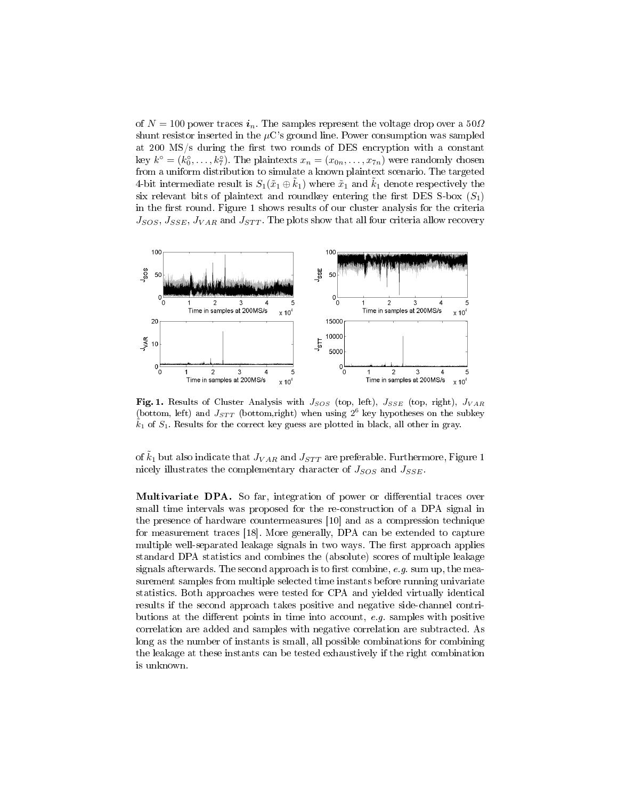of  $N = 100$  power traces  $i_n$ . The samples represent the voltage drop over a  $50\Omega$ shunt resistor inserted in the  $\mu$ C's ground line. Power consumption was sampled at 200 MS/s during the first two rounds of DES encryption with a constant key  $k^{\circ} = (k_0^{\circ}, \ldots, k_7^{\circ})$ . The plaintexts  $x_n = (x_{0n}, \ldots, x_{7n})$  were randomly chosen from a uniform distribution to simulate a known plaintext scenario. The targeted 4-bit intermediate result is  $S_1(\tilde{x}_1 \oplus \tilde{k}_1)$  where  $\tilde{x}_1$  and  $\tilde{k}_1$  denote respectively the six relevant bits of plaintext and roundkey entering the first DES S-box  $(S_1)$ in the first round. Figure 1 shows results of our cluster analysis for the criteria  $J_{SOS}$ ,  $J_{SSE}$ ,  $J_{VAR}$  and  $J_{STT}$ . The plots show that all four criteria allow recovery



Fig. 1. Results of Cluster Analysis with  $J_{SOS}$  (top, left),  $J_{SSE}$  (top, right),  $J_{VAR}$ (bottom, left) and  $J_{STT}$  (bottom,right) when using  $2^6$  key hypotheses on the subkey  $k_1$  of  $S_1$ . Results for the correct key guess are plotted in black, all other in gray.

of  $k_1$  but also indicate that  $J_{VAR}$  and  $J_{STT}$  are preferable. Furthermore, Figure 1 nicely illustrates the complementary character of  $J_{SOS}$  and  $J_{SSE}$ .

Multivariate DPA. So far, integration of power or differential traces over small time intervals was proposed for the re-construction of a DPA signal in the presence of hardware countermeasures [10] and as a compression technique for measurement traces [18]. More generally, DPA can be extended to capture multiple well-separated leakage signals in two ways. The first approach applies standard DPA statistics and combines the (absolute) scores of multiple leakage signals afterwards. The second approach is to first combine, e.g. sum up, the measurement samples from multiple selected time instants before running univariate statistics. Both approaches were tested for CPA and yielded virtually identical results if the second approach takes positive and negative side-channel contributions at the different points in time into account,  $e.g.$  samples with positive correlation are added and samples with negative correlation are subtracted. As long as the number of instants is small, all possible combinations for combining the leakage at these instants can be tested exhaustively if the right combination is unknown.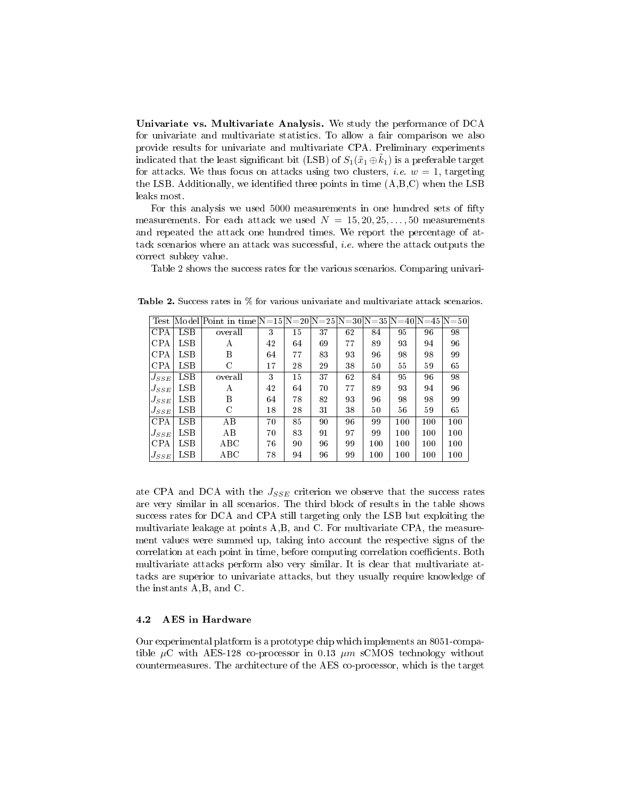Univariate vs. Multivariate Analysis. We study the performance of DCA for univariate and multivariate statistics. To allow a fair comparison we also provide results for univariate and multivariate CPA. Preliminary experiments indicated that the least significant bit (LSB) of  $S_1(\tilde{x}_1 \oplus \tilde{k}_1)$  is a preferable target for attacks. We thus focus on attacks using two clusters, *i.e.*  $w = 1$ , targeting the LSB. Additionally, we identified three points in time  $(A,B,C)$  when the LSB leaks most.

For this analysis we used 5000 measurements in one hundred sets of fifty measurements. For each attack we used  $N = 15, 20, 25, \ldots, 50$  measurements and repeated the attack one hundred times. We report the percentage of attack scenarios where an attack was successful, i.e. where the attack outputs the correct subkey value.

Table 2 shows the success rates for the various scenarios. Comparing univari-

|             |              | Test  Model Point in time N=15 N=20 N=25 N=30 N=35 N=40 N=45 N=50 |    |    |    |    |     |     |     |     |
|-------------|--------------|-------------------------------------------------------------------|----|----|----|----|-----|-----|-----|-----|
| <b>CPA</b>  | $_{\rm LSB}$ | overall                                                           | 3  | 15 | 37 | 62 | 84  | 95  | 96  | 98  |
| <b>CPA</b>  | LSB          | А                                                                 | 42 | 64 | 69 | 77 | 89  | 93  | 94  | 96  |
| <b>CPA</b>  | LSB          | В                                                                 | 64 | 77 | 83 | 93 | 96  | 98  | 98  | 99  |
| <b>CPA</b>  | LSB          | С                                                                 | 17 | 28 | 29 | 38 | 50  | 55  | 59  | 65  |
| $J_{SSE}$   | $_{\rm LSB}$ | overall                                                           | 3  | 15 | 37 | 62 | 84  | 95  | 96  | 98  |
| $J_{SSE}$   | LSB          | А                                                                 | 42 | 64 | 70 | 77 | 89  | 93  | 94  | 96  |
| $J_{SSE}$ ' | <b>LSB</b>   | В                                                                 | 64 | 78 | 82 | 93 | 96  | 98  | 98  | 99  |
| $J_{SSE}$   | LS B         | C                                                                 | 18 | 28 | 31 | 38 | 50  | 56  | 59  | 65  |
| <b>CPA</b>  | LSB          | AВ                                                                | 70 | 85 | 90 | 96 | 99  | 100 | 100 | 100 |
| $J_{SSE}$   | LSB          | AВ                                                                | 70 | 83 | 91 | 97 | 99  | 100 | 100 | 100 |
| <b>CPA</b>  | LSB          | АВС                                                               | 76 | 90 | 96 | 99 | 100 | 100 | 100 | 100 |
| $J_{SSE}$ ' | LSB          | ABC                                                               | 78 | 94 | 96 | 99 | 100 | 100 | 100 | 100 |

Table 2. Success rates in % for various univariate and multivariate attack scenarios.

ate CPA and DCA with the  $J_{SSE}$  criterion we observe that the success rates are very similar in all scenarios. The third block of results in the table shows success rates for DCA and CPA still targeting only the LSB but exploiting the multivariate leakage at points A,B, and C. For multivariate CPA, the measurement values were summed up, taking into account the respective signs of the correlation at each point in time, before computing correlation coefficients. Both multivariate attacks perform also very similar. It is clear that multivariate attacks are superior to univariate attacks, but they usually require knowledge of the instants A,B, and C.

#### 4.2 AES in Hardware

Our experimental platform is a prototype chip which implements an 8051-compatible  $\mu$ C with AES-128 co-processor in 0.13  $\mu$ m sCMOS technology without countermeasures. The architecture of the AES co-processor, which is the target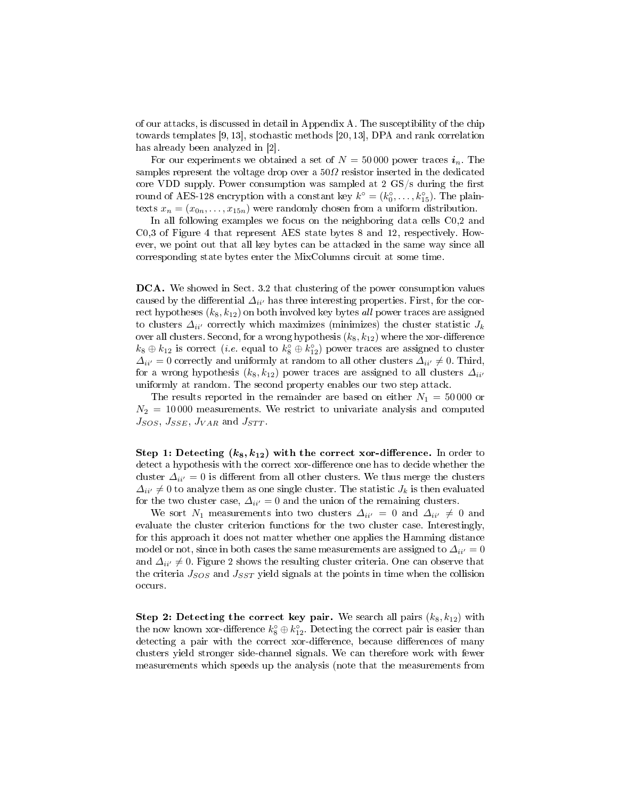of our attacks, is discussed in detail in Appendix A. The susceptibility of the chip towards templates [9, 13], stochastic methods [20, 13], DPA and rank correlation has already been analyzed in [2].

For our experiments we obtained a set of  $N = 50000$  power traces  $i_n$ . The samples represent the voltage drop over a  $50\Omega$  resistor inserted in the dedicated core VDD supply. Power consumption was sampled at  $2 \text{ GS/s}$  during the first round of AES-128 encryption with a constant key  $k^{\circ} = (k_0^{\circ}, \ldots, k_{15}^{\circ})$ . The plaintexts  $x_n = (x_{0n}, \ldots, x_{15n})$  were randomly chosen from a uniform distribution.

In all following examples we focus on the neighboring data cells C0,2 and C0,3 of Figure 4 that represent AES state bytes 8 and 12, respectively. However, we point out that all key bytes can be attacked in the same way since all corresponding state bytes enter the MixColumns circuit at some time.

DCA. We showed in Sect. 3.2 that clustering of the power consumption values caused by the differential  $\Delta_{ii'}$  has three interesting properties. First, for the correct hypotheses  $(k_8, k_{12})$  on both involved key bytes all power traces are assigned to clusters  $\Delta_{ii'}$  correctly which maximizes (minimizes) the cluster statistic  $J_k$ over all clusters. Second, for a wrong hypothesis  $(k_8, k_{12})$  where the xor-difference  $k_8 \oplus k_{12}$  is correct (*i.e.* equal to  $k_8^{\circ} \oplus k_{12}^{\circ}$ ) power traces are assigned to cluster  $\Delta_{ii'}=0$  correctly and uniformly at random to all other clusters  $\Delta_{ii'}\neq 0$ . Third, for a wrong hypothesis ( $k_8, k_{12}$ ) power traces are assigned to all clusters  $\Delta_{ii'}$ uniformly at random. The second property enables our two step attack.

The results reported in the remainder are based on either  $N_1 = 50000$  or  $N_2 = 10000$  measurements. We restrict to univariate analysis and computed  $J_{SOS}$ ,  $J_{SSE}$ ,  $J_{VAR}$  and  $J_{STT}$ .

Step 1: Detecting  $(k_8, k_{12})$  with the correct xor-difference. In order to detect a hypothesis with the correct xor-difference one has to decide whether the cluster  $\Delta_{ii'}=0$  is different from all other clusters. We thus merge the clusters  $\Delta_{ii'} \neq 0$  to analyze them as one single cluster. The statistic  $J_k$  is then evaluated for the two cluster case,  $\Delta_{ii'}=0$  and the union of the remaining clusters.

We sort  $N_1$  measurements into two clusters  $\Delta_{ii'}=0$  and  $\Delta_{ii'}\neq 0$  and evaluate the cluster criterion functions for the two cluster case. Interestingly, for this approach it does not matter whether one applies the Hamming distance model or not, since in both cases the same measurements are assigned to  $\Delta_{ii'}=0$ and  $\Delta_{ii'}\neq 0$ . Figure 2 shows the resulting cluster criteria. One can observe that the criteria  $J_{SOS}$  and  $J_{SST}$  yield signals at the points in time when the collision occurs.

Step 2: Detecting the correct key pair. We search all pairs  $(k_8, k_{12})$  with the now known xor-difference  $k_8^{\circ} \oplus k_{12}^{\circ}$ . Detecting the correct pair is easier than detecting a pair with the correct xor-difference, because differences of many clusters yield stronger side-channel signals. We can therefore work with fewer measurements which speeds up the analysis (note that the measurements from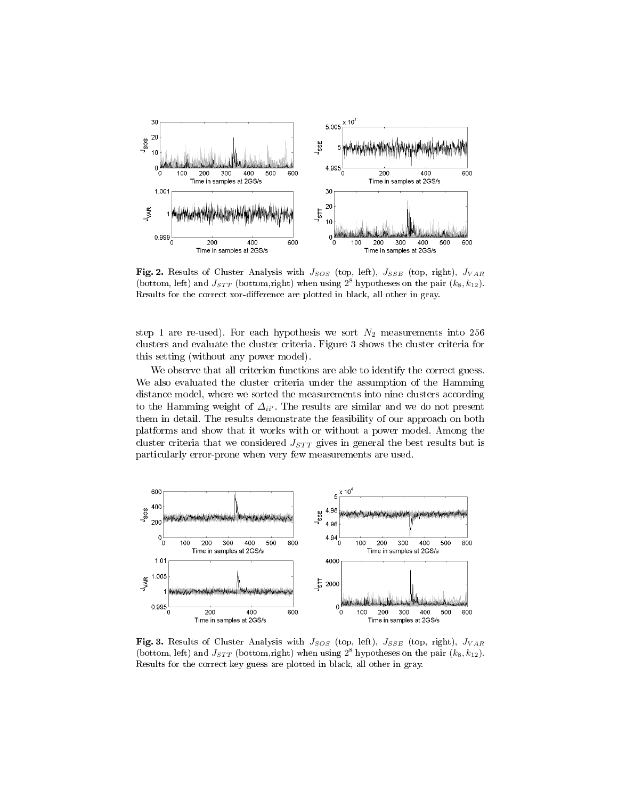

Fig. 2. Results of Cluster Analysis with  $J_{SOS}$  (top, left),  $J_{SSE}$  (top, right),  $J_{VAR}$ (bottom, left) and  $J_{STT}$  (bottom,right) when using  $2^8$  hypotheses on the pair  $(k_8, k_{12})$ . Results for the correct xor-difference are plotted in black, all other in gray.

step 1 are re-used). For each hypothesis we sort  $N_2$  measurements into 256 clusters and evaluate the cluster criteria. Figure 3 shows the cluster criteria for this setting (without any power model).

We observe that all criterion functions are able to identify the correct guess. We also evaluated the cluster criteria under the assumption of the Hamming distance model, where we sorted the measurements into nine clusters according to the Hamming weight of  $\Delta_{ii'}$ . The results are similar and we do not present them in detail. The results demonstrate the feasibility of our approach on both platforms and show that it works with or without a power model. Among the cluster criteria that we considered  $J_{STT}$  gives in general the best results but is particularly error-prone when very few measurements are used.



Fig. 3. Results of Cluster Analysis with  $J_{SOS}$  (top, left),  $J_{SSE}$  (top, right),  $J_{VAR}$ (bottom, left) and  $J_{STT}$  (bottom,right) when using  $2^8$  hypotheses on the pair  $(k_8, k_{12})$ . Results for the correct key guess are plotted in black, all other in gray.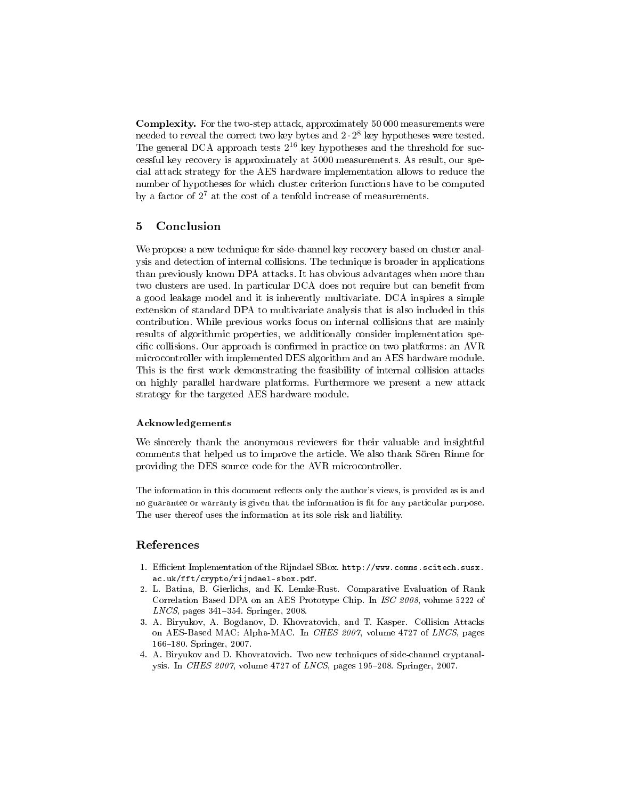Complexity. For the two-step attack, approximately 50 000 measurements were needed to reveal the correct two key bytes and  $2 \cdot 2^8$  key hypotheses were tested. The general DCA approach tests  $2^{16}$  key hypotheses and the threshold for successful key recovery is approximately at 5000 measurements. As result, our special attack strategy for the AES hardware implementation allows to reduce the number of hypotheses for which cluster criterion functions have to be computed by a factor of  $2^7$  at the cost of a tenfold increase of measurements.

# 5 Conclusion

We propose a new technique for side-channel key recovery based on cluster analysis and detection of internal collisions. The technique is broader in applications than previously known DPA attacks. It has obvious advantages when more than two clusters are used. In particular DCA does not require but can benefit from a good leakage model and it is inherently multivariate. DCA inspires a simple extension of standard DPA to multivariate analysis that is also included in this contribution. While previous works focus on internal collisions that are mainly results of algorithmic properties, we additionally consider implementation specific collisions. Our approach is confirmed in practice on two platforms: an AVR microcontroller with implemented DES algorithm and an AES hardware module. This is the first work demonstrating the feasibility of internal collision attacks on highly parallel hardware platforms. Furthermore we present a new attack strategy for the targeted AES hardware module.

#### Acknowledgements

We sincerely thank the anonymous reviewers for their valuable and insightful comments that helped us to improve the article. We also thank Sören Rinne for providing the DES source code for the AVR microcontroller.

The information in this document reflects only the author's views, is provided as is and no guarantee or warranty is given that the information is fit for any particular purpose. The user thereof uses the information at its sole risk and liability.

# References

- 1. Efficient Implementation of the Rijndael SBox. http://www.comms.scitech.susx. ac.uk/fft/crypto/rijndael-sbox.pdf.
- 2. L. Batina, B. Gierlichs, and K. Lemke-Rust. Comparative Evaluation of Rank Correlation Based DPA on an AES Prototype Chip. In ISC 2008, volume 5222 of LNCS, pages 341-354. Springer, 2008.
- 3. A. Biryukov, A. Bogdanov, D. Khovratovich, and T. Kasper. Collision Attacks on AES-Based MAC: Alpha-MAC. In CHES 2007, volume 4727 of LNCS, pages 166-180. Springer, 2007.
- 4. A. Biryukov and D. Khovratovich. Two new techniques of side-channel cryptanalysis. In *CHES 2007*, volume 4727 of *LNCS*, pages 195-208. Springer, 2007.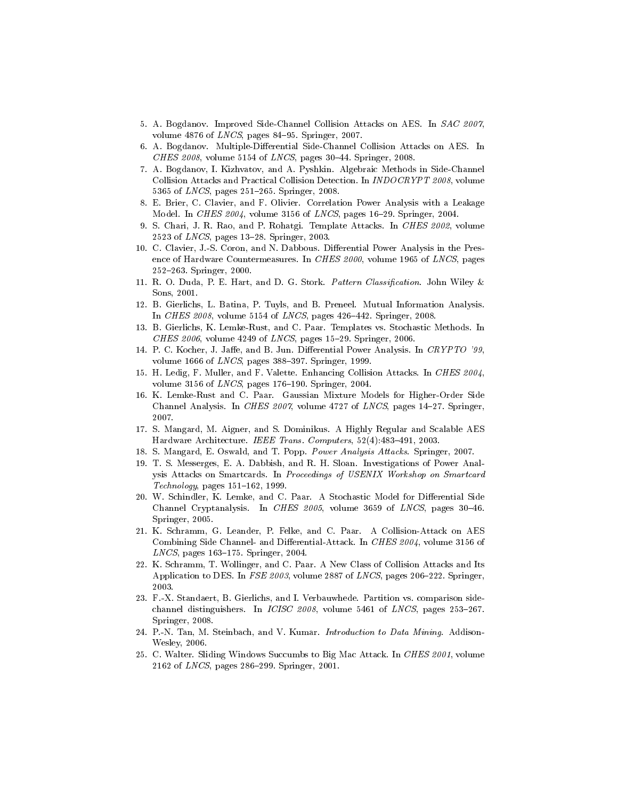- 5. A. Bogdanov. Improved Side-Channel Collision Attacks on AES. In SAC 2007, volume 4876 of  $LNCS$ , pages 84–95. Springer, 2007.
- 6. A. Bogdanov. Multiple-Differential Side-Channel Collision Attacks on AES. In CHES 2008, volume 5154 of LNCS, pages 30–44. Springer, 2008.
- 7. A. Bogdanov, I. Kizhvatov, and A. Pyshkin. Algebraic Methods in Side-Channel Collision Attacks and Practical Collision Detection. In INDOCRYPT 2008, volume 5365 of *LNCS*, pages  $251-265$ . Springer, 2008.
- 8. E. Brier, C. Clavier, and F. Olivier. Correlation Power Analysis with a Leakage Model. In CHES 2004, volume 3156 of LNCS, pages 16-29. Springer, 2004.
- 9. S. Chari, J. R. Rao, and P. Rohatgi. Template Attacks. In CHES 2002, volume 2523 of  $LNCS$ , pages 13-28. Springer, 2003.
- 10. C. Clavier, J.-S. Coron, and N. Dabbous. Differential Power Analysis in the Presence of Hardware Countermeasures. In CHES 2000, volume 1965 of LNCS, pages 252263. Springer, 2000.
- 11. R. O. Duda, P. E. Hart, and D. G. Stork. Pattern Classification. John Wiley & Sons, 2001.
- 12. B. Gierlichs, L. Batina, P. Tuyls, and B. Preneel. Mutual Information Analysis. In CHES 2008, volume 5154 of  $LNCS$ , pages 426-442. Springer, 2008.
- 13. B. Gierlichs, K. Lemke-Rust, and C. Paar. Templates vs. Stochastic Methods. In  $CHES$  2006, volume 4249 of  $LNCS$ , pages 15-29. Springer, 2006.
- 14. P. C. Kocher, J. Jaffe, and B. Jun. Differential Power Analysis. In CRYPTO '99, volume 1666 of  $LNCS$ , pages 388-397. Springer, 1999.
- 15. H. Ledig, F. Muller, and F. Valette. Enhancing Collision Attacks. In CHES 2004, volume 3156 of  $LNCS$ , pages 176-190. Springer, 2004.
- 16. K. Lemke-Rust and C. Paar. Gaussian Mixture Models for Higher-Order Side Channel Analysis. In CHES 2007, volume 4727 of LNCS, pages 14-27. Springer, 2007.
- 17. S. Mangard, M. Aigner, and S. Dominikus. A Highly Regular and Scalable AES Hardware Architecture. IEEE Trans. Computers, 52(4):483-491, 2003.
- 18. S. Mangard, E. Oswald, and T. Popp. Power Analysis Attacks. Springer, 2007.
- 19. T. S. Messerges, E. A. Dabbish, and R. H. Sloan. Investigations of Power Analysis Attacks on Smartcards. In Proceedings of USENIX Workshop on Smartcard  $Technology, pages 151–162, 1999.$
- 20. W. Schindler, K. Lemke, and C. Paar. A Stochastic Model for Differential Side Channel Cryptanalysis. In *CHES 2005*, volume 3659 of *LNCS*, pages 30–46. Springer, 2005.
- 21. K. Schramm, G. Leander, P. Felke, and C. Paar. A Collision-Attack on AES Combining Side Channel- and Differential-Attack. In *CHES 2004*, volume 3156 of  $LNCS$ , pages 163-175. Springer, 2004.
- 22. K. Schramm, T. Wollinger, and C. Paar. A New Class of Collision Attacks and Its Application to DES. In FSE 2003, volume 2887 of LNCS, pages 206-222. Springer, 2003.
- 23. F.-X. Standaert, B. Gierlichs, and I. Verbauwhede. Partition vs. comparison sidechannel distinguishers. In  $ICISC$  2008, volume 5461 of  $LNCS$ , pages 253-267. Springer, 2008.
- 24. P.-N. Tan, M. Steinbach, and V. Kumar. Introduction to Data Mining. Addison-Wesley, 2006.
- 25. C. Walter. Sliding Windows Succumbs to Big Mac Attack. In CHES 2001, volume 2162 of  $LNCS$ , pages 286-299. Springer, 2001.